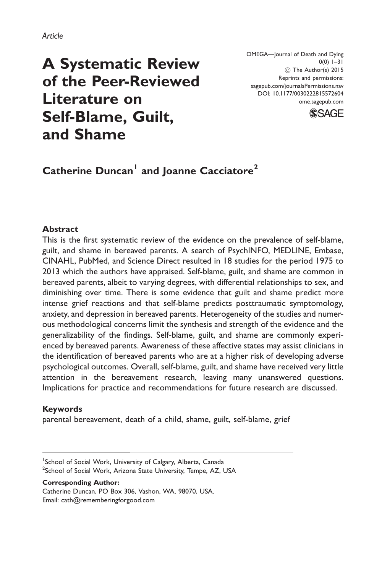# A Systematic Review of the Peer-Reviewed Literature on Self-Blame, Guilt, and Shame

OMEGA—Journal of Death and Dying  $0(0)$  1–31 C The Author(s) 2015 Reprints and permissions: sagepub.com/journalsPermissions.nav DOI: 10.1177/0030222815572604 ome.sagepub.com



# Catherine Duncan<sup>1</sup> and Joanne Cacciatore<sup>2</sup>

#### Abstract

This is the first systematic review of the evidence on the prevalence of self-blame, guilt, and shame in bereaved parents. A search of PsychINFO, MEDLINE, Embase, CINAHL, PubMed, and Science Direct resulted in 18 studies for the period 1975 to 2013 which the authors have appraised. Self-blame, guilt, and shame are common in bereaved parents, albeit to varying degrees, with differential relationships to sex, and diminishing over time. There is some evidence that guilt and shame predict more intense grief reactions and that self-blame predicts posttraumatic symptomology, anxiety, and depression in bereaved parents. Heterogeneity of the studies and numerous methodological concerns limit the synthesis and strength of the evidence and the generalizability of the findings. Self-blame, guilt, and shame are commonly experienced by bereaved parents. Awareness of these affective states may assist clinicians in the identification of bereaved parents who are at a higher risk of developing adverse psychological outcomes. Overall, self-blame, guilt, and shame have received very little attention in the bereavement research, leaving many unanswered questions. Implications for practice and recommendations for future research are discussed.

#### Keywords

parental bereavement, death of a child, shame, guilt, self-blame, grief

Corresponding Author:

Catherine Duncan, PO Box 306, Vashon, WA, 98070, USA. Email: cath@rememberingforgood.com

<sup>&</sup>lt;sup>1</sup>School of Social Work, University of Calgary, Alberta, Canada <sup>2</sup>School of Social Work, Arizona State University, Tempe, AZ, USA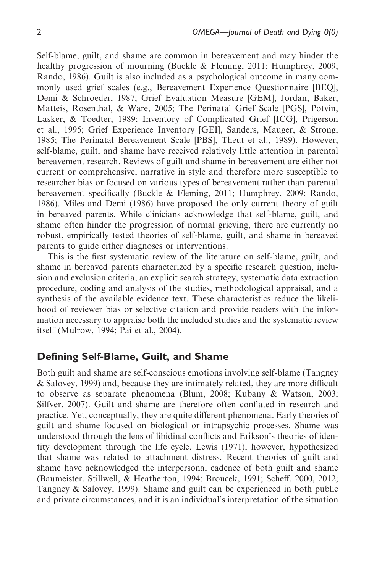Self-blame, guilt, and shame are common in bereavement and may hinder the healthy progression of mourning (Buckle & Fleming, 2011; Humphrey, 2009; Rando, 1986). Guilt is also included as a psychological outcome in many commonly used grief scales (e.g., Bereavement Experience Questionnaire [BEQ], Demi & Schroeder, 1987; Grief Evaluation Measure [GEM], Jordan, Baker, Matteis, Rosenthal, & Ware, 2005; The Perinatal Grief Scale [PGS], Potvin, Lasker, & Toedter, 1989; Inventory of Complicated Grief [ICG], Prigerson et al., 1995; Grief Experience Inventory [GEI], Sanders, Mauger, & Strong, 1985; The Perinatal Bereavement Scale [PBS], Theut et al., 1989). However, self-blame, guilt, and shame have received relatively little attention in parental bereavement research. Reviews of guilt and shame in bereavement are either not current or comprehensive, narrative in style and therefore more susceptible to researcher bias or focused on various types of bereavement rather than parental bereavement specifically (Buckle & Fleming, 2011; Humphrey, 2009; Rando, 1986). Miles and Demi (1986) have proposed the only current theory of guilt in bereaved parents. While clinicians acknowledge that self-blame, guilt, and shame often hinder the progression of normal grieving, there are currently no robust, empirically tested theories of self-blame, guilt, and shame in bereaved parents to guide either diagnoses or interventions.

This is the first systematic review of the literature on self-blame, guilt, and shame in bereaved parents characterized by a specific research question, inclusion and exclusion criteria, an explicit search strategy, systematic data extraction procedure, coding and analysis of the studies, methodological appraisal, and a synthesis of the available evidence text. These characteristics reduce the likelihood of reviewer bias or selective citation and provide readers with the information necessary to appraise both the included studies and the systematic review itself (Mulrow, 1994; Pai et al., 2004).

## Defining Self-Blame, Guilt, and Shame

Both guilt and shame are self-conscious emotions involving self-blame (Tangney & Salovey, 1999) and, because they are intimately related, they are more difficult to observe as separate phenomena (Blum, 2008; Kubany & Watson, 2003; Silfver, 2007). Guilt and shame are therefore often conflated in research and practice. Yet, conceptually, they are quite different phenomena. Early theories of guilt and shame focused on biological or intrapsychic processes. Shame was understood through the lens of libidinal conflicts and Erikson's theories of identity development through the life cycle. Lewis (1971), however, hypothesized that shame was related to attachment distress. Recent theories of guilt and shame have acknowledged the interpersonal cadence of both guilt and shame (Baumeister, Stillwell, & Heatherton, 1994; Broucek, 1991; Scheff, 2000, 2012; Tangney & Salovey, 1999). Shame and guilt can be experienced in both public and private circumstances, and it is an individual's interpretation of the situation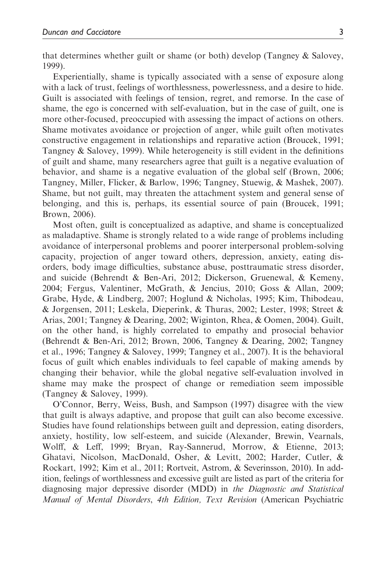that determines whether guilt or shame (or both) develop (Tangney & Salovey, 1999).

Experientially, shame is typically associated with a sense of exposure along with a lack of trust, feelings of worthlessness, powerlessness, and a desire to hide. Guilt is associated with feelings of tension, regret, and remorse. In the case of shame, the ego is concerned with self-evaluation, but in the case of guilt, one is more other-focused, preoccupied with assessing the impact of actions on others. Shame motivates avoidance or projection of anger, while guilt often motivates constructive engagement in relationships and reparative action (Broucek, 1991; Tangney & Salovey, 1999). While heterogeneity is still evident in the definitions of guilt and shame, many researchers agree that guilt is a negative evaluation of behavior, and shame is a negative evaluation of the global self (Brown, 2006; Tangney, Miller, Flicker, & Barlow, 1996; Tangney, Stuewig, & Mashek, 2007). Shame, but not guilt, may threaten the attachment system and general sense of belonging, and this is, perhaps, its essential source of pain (Broucek, 1991; Brown, 2006).

Most often, guilt is conceptualized as adaptive, and shame is conceptualized as maladaptive. Shame is strongly related to a wide range of problems including avoidance of interpersonal problems and poorer interpersonal problem-solving capacity, projection of anger toward others, depression, anxiety, eating disorders, body image difficulties, substance abuse, posttraumatic stress disorder, and suicide (Behrendt & Ben-Ari, 2012; Dickerson, Gruenewal, & Kemeny, 2004; Fergus, Valentiner, McGrath, & Jencius, 2010; Goss & Allan, 2009; Grabe, Hyde, & Lindberg, 2007; Hoglund & Nicholas, 1995; Kim, Thibodeau, & Jorgensen, 2011; Leskela, Dieperink, & Thuras, 2002; Lester, 1998; Street & Arias, 2001; Tangney & Dearing, 2002; Wiginton, Rhea, & Oomen, 2004). Guilt, on the other hand, is highly correlated to empathy and prosocial behavior (Behrendt & Ben-Ari, 2012; Brown, 2006, Tangney & Dearing, 2002; Tangney et al., 1996; Tangney & Salovey, 1999; Tangney et al., 2007). It is the behavioral focus of guilt which enables individuals to feel capable of making amends by changing their behavior, while the global negative self-evaluation involved in shame may make the prospect of change or remediation seem impossible (Tangney & Salovey, 1999).

O'Connor, Berry, Weiss, Bush, and Sampson (1997) disagree with the view that guilt is always adaptive, and propose that guilt can also become excessive. Studies have found relationships between guilt and depression, eating disorders, anxiety, hostility, low self-esteem, and suicide (Alexander, Brewin, Vearnals, Wolff, & Leff, 1999; Bryan, Ray-Sannerud, Morrow, & Etienne, 2013; Ghatavi, Nicolson, MacDonald, Osher, & Levitt, 2002; Harder, Cutler, & Rockart, 1992; Kim et al., 2011; Rortveit, Astrom, & Severinsson, 2010). In addition, feelings of worthlessness and excessive guilt are listed as part of the criteria for diagnosing major depressive disorder (MDD) in the Diagnostic and Statistical Manual of Mental Disorders, 4th Edition, Text Revision (American Psychiatric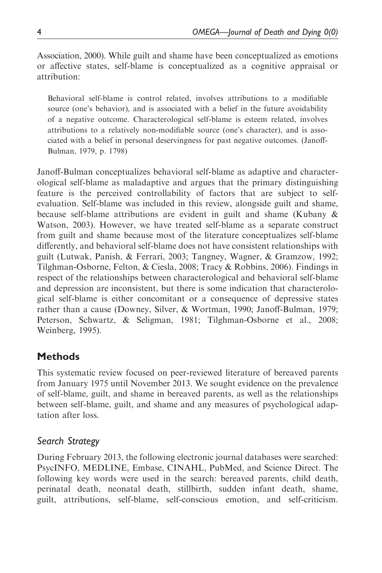Association, 2000). While guilt and shame have been conceptualized as emotions or affective states, self-blame is conceptualized as a cognitive appraisal or attribution:

Behavioral self-blame is control related, involves attributions to a modifiable source (one's behavior), and is associated with a belief in the future avoidability of a negative outcome. Characterological self-blame is esteem related, involves attributions to a relatively non-modifiable source (one's character), and is associated with a belief in personal deservingness for past negative outcomes. (Janoff-Bulman, 1979, p. 1798)

Janoff-Bulman conceptualizes behavioral self-blame as adaptive and characterological self-blame as maladaptive and argues that the primary distinguishing feature is the perceived controllability of factors that are subject to selfevaluation. Self-blame was included in this review, alongside guilt and shame, because self-blame attributions are evident in guilt and shame (Kubany & Watson, 2003). However, we have treated self-blame as a separate construct from guilt and shame because most of the literature conceptualizes self-blame differently, and behavioral self-blame does not have consistent relationships with guilt (Lutwak, Panish, & Ferrari, 2003; Tangney, Wagner, & Gramzow, 1992; Tilghman-Osborne, Felton, & Ciesla, 2008; Tracy & Robbins, 2006). Findings in respect of the relationships between characterological and behavioral self-blame and depression are inconsistent, but there is some indication that characterological self-blame is either concomitant or a consequence of depressive states rather than a cause (Downey, Silver, & Wortman, 1990; Janoff-Bulman, 1979; Peterson, Schwartz, & Seligman, 1981; Tilghman-Osborne et al., 2008; Weinberg, 1995).

# **Methods**

This systematic review focused on peer-reviewed literature of bereaved parents from January 1975 until November 2013. We sought evidence on the prevalence of self-blame, guilt, and shame in bereaved parents, as well as the relationships between self-blame, guilt, and shame and any measures of psychological adaptation after loss.

# Search Strategy

During February 2013, the following electronic journal databases were searched: PsycINFO, MEDLINE, Embase, CINAHL, PubMed, and Science Direct. The following key words were used in the search: bereaved parents, child death, perinatal death, neonatal death, stillbirth, sudden infant death, shame, guilt, attributions, self-blame, self-conscious emotion, and self-criticism.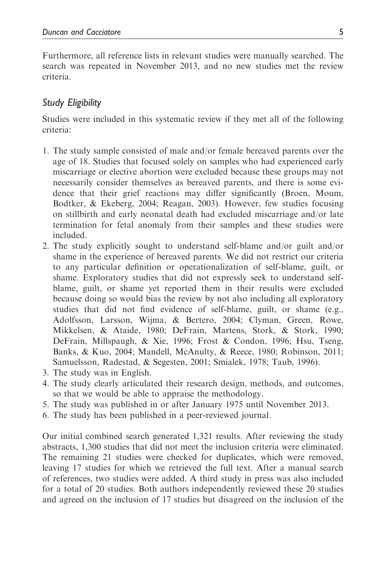Furthermore, all reference lists in relevant studies were manually searched. The search was repeated in November 2013, and no new studies met the review criteria.

# Study Eligibility

Studies were included in this systematic review if they met all of the following criteria:

- 1. The study sample consisted of male and/or female bereaved parents over the age of 18. Studies that focused solely on samples who had experienced early miscarriage or elective abortion were excluded because these groups may not necessarily consider themselves as bereaved parents, and there is some evidence that their grief reactions may differ significantly (Broen, Moum, Bodtker, & Ekeberg, 2004; Reagan, 2003). However, few studies focusing on stillbirth and early neonatal death had excluded miscarriage and/or late termination for fetal anomaly from their samples and these studies were included.
- 2. The study explicitly sought to understand self-blame and/or guilt and/or shame in the experience of bereaved parents. We did not restrict our criteria to any particular definition or operationalization of self-blame, guilt, or shame. Exploratory studies that did not expressly seek to understand selfblame, guilt, or shame yet reported them in their results were excluded because doing so would bias the review by not also including all exploratory studies that did not find evidence of self-blame, guilt, or shame (e.g., Adolfsson, Larsson, Wijma, & Bertero, 2004; Clyman, Green, Rowe, Mikkelsen, & Ataide, 1980; DeFrain, Martens, Stork, & Stork, 1990; DeFrain, Millspaugh, & Xie, 1996; Frost & Condon, 1996; Hsu, Tseng, Banks, & Kuo, 2004; Mandell, McAnulty, & Reece, 1980; Robinson, 2011; Samuelsson, Radestad, & Segesten, 2001; Smialek, 1978; Taub, 1996).
- 3. The study was in English.
- 4. The study clearly articulated their research design, methods, and outcomes, so that we would be able to appraise the methodology.
- 5. The study was published in or after January 1975 until November 2013.
- 6. The study has been published in a peer-reviewed journal.

Our initial combined search generated 1,321 results. After reviewing the study abstracts, 1,300 studies that did not meet the inclusion criteria were eliminated. The remaining 21 studies were checked for duplicates, which were removed, leaving 17 studies for which we retrieved the full text. After a manual search of references, two studies were added. A third study in press was also included for a total of 20 studies. Both authors independently reviewed these 20 studies and agreed on the inclusion of 17 studies but disagreed on the inclusion of the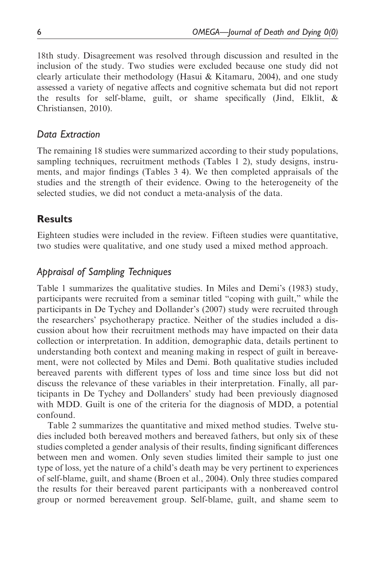18th study. Disagreement was resolved through discussion and resulted in the inclusion of the study. Two studies were excluded because one study did not clearly articulate their methodology (Hasui & Kitamaru, 2004), and one study assessed a variety of negative affects and cognitive schemata but did not report the results for self-blame, guilt, or shame specifically (Jind, Elklit, & Christiansen, 2010).

# Data Extraction

The remaining 18 studies were summarized according to their study populations, sampling techniques, recruitment methods (Tables 1 2), study designs, instruments, and major findings (Tables 3 4). We then completed appraisals of the studies and the strength of their evidence. Owing to the heterogeneity of the selected studies, we did not conduct a meta-analysis of the data.

# Results

Eighteen studies were included in the review. Fifteen studies were quantitative, two studies were qualitative, and one study used a mixed method approach.

# Appraisal of Sampling Techniques

Table 1 summarizes the qualitative studies. In Miles and Demi's (1983) study, participants were recruited from a seminar titled "coping with guilt," while the participants in De Tychey and Dollander's (2007) study were recruited through the researchers' psychotherapy practice. Neither of the studies included a discussion about how their recruitment methods may have impacted on their data collection or interpretation. In addition, demographic data, details pertinent to understanding both context and meaning making in respect of guilt in bereavement, were not collected by Miles and Demi. Both qualitative studies included bereaved parents with different types of loss and time since loss but did not discuss the relevance of these variables in their interpretation. Finally, all participants in De Tychey and Dollanders' study had been previously diagnosed with MDD. Guilt is one of the criteria for the diagnosis of MDD, a potential confound.

Table 2 summarizes the quantitative and mixed method studies. Twelve studies included both bereaved mothers and bereaved fathers, but only six of these studies completed a gender analysis of their results, finding significant differences between men and women. Only seven studies limited their sample to just one type of loss, yet the nature of a child's death may be very pertinent to experiences of self-blame, guilt, and shame (Broen et al., 2004). Only three studies compared the results for their bereaved parent participants with a nonbereaved control group or normed bereavement group. Self-blame, guilt, and shame seem to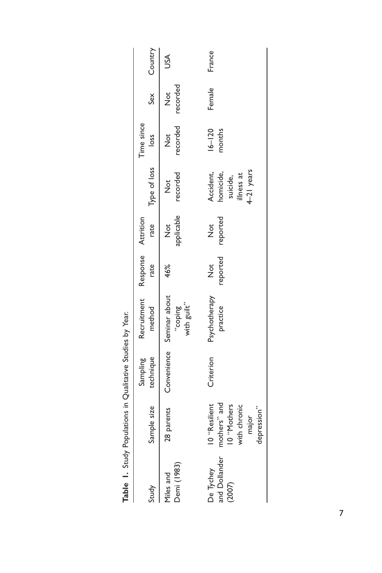| Study                                | Sample size                                                                          | Sampling<br>technique | Recruitment Response Attrition<br>method                        | rate                      | rate                      | Type of loss                                                  | Time since<br>loss   | Sex           | Country |
|--------------------------------------|--------------------------------------------------------------------------------------|-----------------------|-----------------------------------------------------------------|---------------------------|---------------------------|---------------------------------------------------------------|----------------------|---------------|---------|
| Demi (1983)<br>Miles and             |                                                                                      |                       | 28 parents Convenience Seminar about<br>"coping"<br>with guilt" | 46%                       | <u>b</u>                  | applicable recorded<br>$\frac{5}{2}$                          | recorded<br>)<br>2   | recorded<br>ž | ŠΩ      |
| and Dollander<br>De Tychey<br>(2007) | 10 "Resilient<br>mothers" and<br>IO "Mothers<br>with chronic<br>major<br>depression" | Criterion             | Psychotherapy<br>practice                                       | reported<br>$\frac{1}{2}$ | reported<br>$\frac{6}{2}$ | +21 years<br>Accident,<br>homicide,<br>suicide,<br>illness at | $16 - 120$<br>months | Female        | France  |

| ear.   |
|--------|
| ì      |
|        |
|        |
| ĺ      |
|        |
|        |
|        |
| l<br>ı |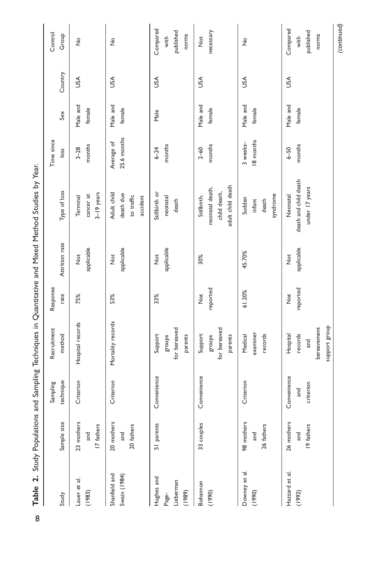| ionaisary -<br>1979<br>1979<br>1979<br>1979 |                                         |                                 |                                                                    |                           |                             |                                                                     |                           |                    |         |                                        |
|---------------------------------------------|-----------------------------------------|---------------------------------|--------------------------------------------------------------------|---------------------------|-----------------------------|---------------------------------------------------------------------|---------------------------|--------------------|---------|----------------------------------------|
|                                             |                                         | Sampling                        | Recruitment                                                        | Response                  |                             |                                                                     | Time since                |                    |         | Control                                |
| Study                                       | Sample size                             | technique                       | method                                                             | rate                      | Attrition rate              | Type of loss                                                        | loss                      | Sex                | Country | Group                                  |
| Lauer et al.<br>(1983)                      | 23 mothers<br>I7 fathers<br>and         | Criterion                       | Hospital records                                                   | 75%                       | applicable<br>$\frac{5}{2}$ | $3-19$ years<br>cancer at<br>Terminal                               | months<br>$3 - 28$        | Male and<br>female | ŠΜ      | $\frac{1}{2}$                          |
| Shanfield and<br>Swain (1984)               | 20 mothers<br>20 fathers<br>and         | Criterion                       | Mortality records                                                  | 53%                       | applicable<br>$\frac{5}{2}$ | Adult child<br>death due<br>to traffic<br>accident                  | 25.6 months<br>Average of | Male and<br>female | ŠΑ      | $\frac{1}{2}$                          |
| Hughes and<br>Lieberman<br>(1989)<br>Page-  | 51 parents                              | Convenience                     | for bereaved<br>Support<br>groups<br>parents                       | 33%                       | applicable<br>$\frac{5}{2}$ | Stillbirth or<br>neonatal<br>death                                  | months<br>$6 - 24$        | Male               | ŠΜ      | Compared<br>published<br>norms<br>with |
| Bohannon<br>(1990)                          | 33 couples                              | Convenience                     | for bereaved<br>Support<br>groups<br>parents                       | reported<br>$\breve{\Xi}$ | 30%                         | adult child death<br>neonatal death,<br>child death,<br>Stillbirth, | months<br>$2 - 60$        | Male and<br>female | Š       | necessary<br>Not                       |
| Downey et al.<br>(1990)                     | 98 mothers<br>26 fathers<br>and         | Criterion                       | examiner<br>records<br>Medical                                     | 61.20%                    | 45.70%                      | syndrome<br>Sudden<br>infant<br>death                               | 18 months<br>3 weeks-     | Male and<br>female | ŠΜ      | ż                                      |
| Hazzard et al.<br>(1992)                    | 26 mothers<br>19 fathers<br><b>Pure</b> | Convenience<br>criterion<br>pue | support group<br>bereavement<br>records<br>Hospital<br>$rac{1}{2}$ | reported<br>$\breve{\Xi}$ | applicable<br>$\frac{5}{2}$ | death and child death<br>under 17 years<br>Neonatal                 | months<br>$6 - 50$        | Male and<br>female | υsΑ     | Compared<br>published<br>norms<br>with |
|                                             |                                         |                                 |                                                                    |                           |                             |                                                                     |                           |                    |         | (continued)                            |

Table 2. Study Populations and Sampling Techniques in Quantitative and Mixed Method Studies by Year. co Table 2. Study Populations and Sampling Techniques in Quantitative and Mixed Method Studies by Year.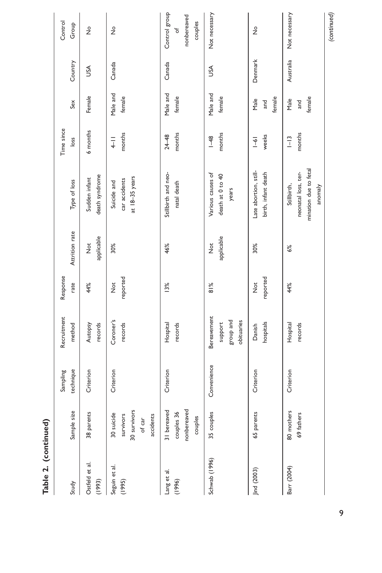| Table 2. (continued)     |                                                                |                       |                                                   |                           |                             |                                                                        |                         |                       |           |                                              |
|--------------------------|----------------------------------------------------------------|-----------------------|---------------------------------------------------|---------------------------|-----------------------------|------------------------------------------------------------------------|-------------------------|-----------------------|-----------|----------------------------------------------|
| Study                    | Sample size                                                    | technique<br>Sampling | Recruitment<br>method                             | Response<br>rate          | Attrition rate              | Type of loss                                                           | Time since<br>loss      | Sex                   | Country   | Control<br>Group                             |
| Ostfeld et al.<br>(1993) | 38 parents                                                     | Criterion             | Autopsy<br>records                                | 44%                       | applicable<br>$\frac{5}{2}$ | death syndrome<br>Sudden infant                                        | 6 months                | Female                | ŠΜ        | $\frac{1}{2}$                                |
| Seguin et al.<br>(1995)  | 30 survivors<br>30 suicide<br>survivors<br>accidents<br>of car | Criterion             | Coroner's<br>records                              | reported<br>$\frac{5}{2}$ | 30%                         | at 18-35 years<br>car accidents<br>Suicide and                         | months<br>$\frac{1}{2}$ | Male and<br>female    | Canada    | $\frac{1}{2}$                                |
| Lang et al.<br>(1996)    | nonbereaved<br>31 bereaved<br>couples 36<br>couples            | Criterion             | Hospital<br>records                               | 13%                       | 46%                         | Stillbirth and neo-<br>natal death                                     | months<br>$24 - 48$     | Male and<br>female    | Canada    | Control group<br>nonbereaved<br>couples<br>Ⴆ |
| Schwab (1996)            | 35 couples                                                     | Convenience           | Bereavement<br>group and<br>obituaries<br>support | $\frac{8}{6}$             | applicable<br>$\breve{\Xi}$ | Various causes of<br>death at 0 to 40<br>years                         | months<br>$\frac{8}{1}$ | Male and<br>female    | ŠΜ        | Not necessary                                |
| Jind (2003)              | 65 parents                                                     | Criterion             | hospitals<br>Danish                               | reported<br>$\breve{\Xi}$ | 30%                         | Late abortion, still-<br>birth, infant death                           | weeks<br>$-61$          | female<br>Male<br>and | Denmark   | ż                                            |
| Barr (2004)              | 80 mothers<br>69 fathers                                       | Criterion             | Hospital<br>records                               | 44%                       | 6%                          | mination due to fetal<br>neonatal loss, ter-<br>Stillbirth,<br>anomaly | months<br>$\frac{1}{2}$ | female<br>Male<br>and | Australia | Not necessary                                |
|                          |                                                                |                       |                                                   |                           |                             |                                                                        |                         |                       |           | (continued)                                  |

9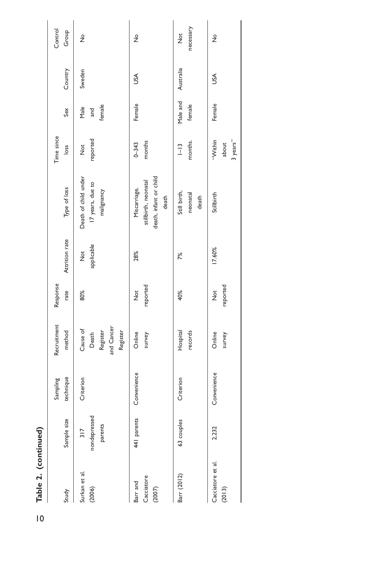|                   |                         | Sampling    | Recruitment                                 | Response      |                |                                | Time since    |                    |         | Control       |
|-------------------|-------------------------|-------------|---------------------------------------------|---------------|----------------|--------------------------------|---------------|--------------------|---------|---------------|
| Study             | Sample size             | technique   | method                                      | rate          | Attrition rate | Type of loss                   | Ioss          | Sex                | Country | Group         |
| Surkan et al.     | 317                     | Criterion   | Cause of                                    | 80%           | $\frac{5}{2}$  | Death of child under           | $\frac{1}{2}$ | Male               | Sweden  | $\frac{1}{2}$ |
| (2006)            | nondepressed<br>parents |             | and Cancer<br>Register<br>Register<br>Death |               | applicable     | I7 years, due to<br>malignancy | reported      | female<br>and      |         |               |
| Barr and          | 44   parents            | Convenience | Online                                      | or<br>Z       | 28%            | Miscarriage,                   | $0 - 343$     | Female             | USA     | $\frac{1}{2}$ |
| Cacciatore        |                         |             | survey                                      | reported      |                | stillbirth, neonatal           | months        |                    |         |               |
| (2007)            |                         |             |                                             |               |                | death, infant or child         |               |                    |         |               |
|                   |                         |             |                                             |               |                | death                          |               |                    |         |               |
| Barr (2012)       | 63 couples              | Criterion   | Hospital                                    | 40%           | 7%             | Still birth,                   | $\frac{1}{1}$ | Male and Australia |         | $\frac{5}{2}$ |
|                   |                         |             | records                                     |               |                | neonatal                       | months.       | female             |         | necessary     |
|                   |                         |             |                                             |               |                | death                          |               |                    |         |               |
| Cacciatore et al. | 2,232                   | Convenience | Online                                      | $\frac{5}{2}$ | 17.60%         | Stillbirth                     | "Within       | Female             | USA     | $\frac{1}{2}$ |
| (2013)            |                         |             | survey                                      | reported      |                |                                | about         |                    |         |               |
|                   |                         |             |                                             |               |                |                                | 3 years"      |                    |         |               |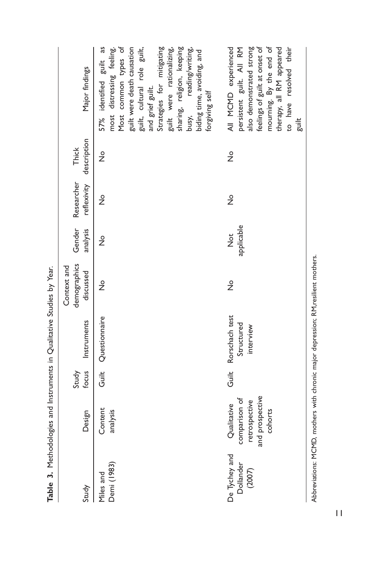| Study                                | Design                                                                      | focus<br>Study | Instruments                                     | demographics<br>Context and<br>discussed | Gender<br>analysis          | Researcher<br>reflexivity | description<br><b>Thick</b> | Major findings                                                                                                                                                                                                                                                                                                                     |
|--------------------------------------|-----------------------------------------------------------------------------|----------------|-------------------------------------------------|------------------------------------------|-----------------------------|---------------------------|-----------------------------|------------------------------------------------------------------------------------------------------------------------------------------------------------------------------------------------------------------------------------------------------------------------------------------------------------------------------------|
| Demi (1983)<br>Miles and             | Content<br>analysis                                                         | Guilt          | Questionnaire                                   | $\frac{1}{2}$                            | $\frac{1}{2}$               | $\frac{1}{2}$             | ž                           | 57% identified guilt as<br>Most common types of<br>most distressing feeling.<br>sharing, religion, keeping<br>guilt were death causation<br>guilt, cultural role guilt,<br>Strategies for mitigating<br>guilt were rationalizing,<br>reading/writing,<br>biding time, avoiding, and<br>and grief guilt.<br>forgiving self<br>busy, |
| De Tychey and<br>Dollander<br>(2007) | and prospective<br>comparison of<br>retrospective<br>Qualitative<br>cohorts |                | Guilt Rorschach test<br>Structured<br>interview | $\frac{1}{2}$                            | applicable<br>$\frac{5}{2}$ | $\frac{1}{2}$             | $\frac{1}{2}$               | feelings of guilt at onset of<br>also demonstrated strong<br>mourning. By the end of<br>to have resolved their<br>All MCMD experienced<br>persistent guilt. All RM<br>therapy, all RM appeared<br>guilt                                                                                                                            |

Table 3. Methodologies and Instruments in Qualitative Studies by Year. Table 3. Methodologies and Instruments in Qualitative Studies by Year.

Abbreviations: MCMD, mothers with chronic major depression; RM, resilient mothers. Abbreviations: MCMD, mothers with chronic major depression; RM,resilient mothers.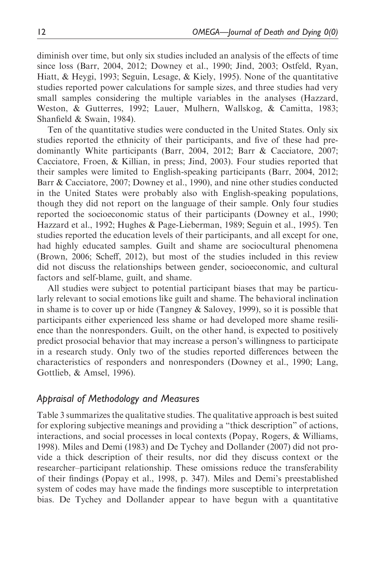diminish over time, but only six studies included an analysis of the effects of time since loss (Barr, 2004, 2012; Downey et al., 1990; Jind, 2003; Ostfeld, Ryan, Hiatt, & Heygi, 1993; Seguin, Lesage, & Kiely, 1995). None of the quantitative studies reported power calculations for sample sizes, and three studies had very small samples considering the multiple variables in the analyses (Hazzard, Weston, & Gutterres, 1992; Lauer, Mulhern, Wallskog, & Camitta, 1983; Shanfield & Swain, 1984).

Ten of the quantitative studies were conducted in the United States. Only six studies reported the ethnicity of their participants, and five of these had predominantly White participants (Barr, 2004, 2012; Barr & Cacciatore, 2007; Cacciatore, Froen, & Killian, in press; Jind, 2003). Four studies reported that their samples were limited to English-speaking participants (Barr, 2004, 2012; Barr & Cacciatore, 2007; Downey et al., 1990), and nine other studies conducted in the United States were probably also with English-speaking populations, though they did not report on the language of their sample. Only four studies reported the socioeconomic status of their participants (Downey et al., 1990; Hazzard et al., 1992; Hughes & Page-Lieberman, 1989; Seguin et al., 1995). Ten studies reported the education levels of their participants, and all except for one, had highly educated samples. Guilt and shame are sociocultural phenomena (Brown, 2006; Scheff, 2012), but most of the studies included in this review did not discuss the relationships between gender, socioeconomic, and cultural factors and self-blame, guilt, and shame.

All studies were subject to potential participant biases that may be particularly relevant to social emotions like guilt and shame. The behavioral inclination in shame is to cover up or hide (Tangney  $&$  Salovey, 1999), so it is possible that participants either experienced less shame or had developed more shame resilience than the nonresponders. Guilt, on the other hand, is expected to positively predict prosocial behavior that may increase a person's willingness to participate in a research study. Only two of the studies reported differences between the characteristics of responders and nonresponders (Downey et al., 1990; Lang, Gottlieb, & Amsel, 1996).

## Appraisal of Methodology and Measures

Table 3 summarizes the qualitative studies. The qualitative approach is best suited for exploring subjective meanings and providing a "thick description" of actions, interactions, and social processes in local contexts (Popay, Rogers, & Williams, 1998). Miles and Demi (1983) and De Tychey and Dollander (2007) did not provide a thick description of their results, nor did they discuss context or the researcher–participant relationship. These omissions reduce the transferability of their findings (Popay et al., 1998, p. 347). Miles and Demi's preestablished system of codes may have made the findings more susceptible to interpretation bias. De Tychey and Dollander appear to have begun with a quantitative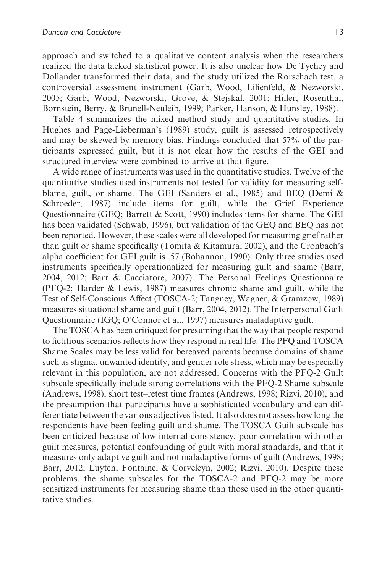approach and switched to a qualitative content analysis when the researchers realized the data lacked statistical power. It is also unclear how De Tychey and Dollander transformed their data, and the study utilized the Rorschach test, a controversial assessment instrument (Garb, Wood, Lilienfeld, & Nezworski, 2005; Garb, Wood, Nezworski, Grove, & Stejskal, 2001; Hiller, Rosenthal, Bornstein, Berry, & Brunell-Neuleib, 1999; Parker, Hanson, & Hunsley, 1988).

Table 4 summarizes the mixed method study and quantitative studies. In Hughes and Page-Lieberman's (1989) study, guilt is assessed retrospectively and may be skewed by memory bias. Findings concluded that 57% of the participants expressed guilt, but it is not clear how the results of the GEI and structured interview were combined to arrive at that figure.

A wide range of instruments was used in the quantitative studies. Twelve of the quantitative studies used instruments not tested for validity for measuring selfblame, guilt, or shame. The GEI (Sanders et al., 1985) and BEQ (Demi & Schroeder, 1987) include items for guilt, while the Grief Experience Questionnaire (GEQ; Barrett & Scott, 1990) includes items for shame. The GEI has been validated (Schwab, 1996), but validation of the GEQ and BEQ has not been reported. However, these scales were all developed for measuring grief rather than guilt or shame specifically (Tomita & Kitamura, 2002), and the Cronbach's alpha coefficient for GEI guilt is .57 (Bohannon, 1990). Only three studies used instruments specifically operationalized for measuring guilt and shame (Barr, 2004, 2012; Barr & Cacciatore, 2007). The Personal Feelings Questionnaire (PFQ-2; Harder & Lewis, 1987) measures chronic shame and guilt, while the Test of Self-Conscious Affect (TOSCA-2; Tangney, Wagner, & Gramzow, 1989) measures situational shame and guilt (Barr, 2004, 2012). The Interpersonal Guilt Questionnaire (IGQ; O'Connor et al., 1997) measures maladaptive guilt.

The TOSCA has been critiqued for presuming that the way that people respond to fictitious scenarios reflects how they respond in real life. The PFQ and TOSCA Shame Scales may be less valid for bereaved parents because domains of shame such as stigma, unwanted identity, and gender role stress, which may be especially relevant in this population, are not addressed. Concerns with the PFQ-2 Guilt subscale specifically include strong correlations with the PFQ-2 Shame subscale (Andrews, 1998), short test–retest time frames (Andrews, 1998; Rizvi, 2010), and the presumption that participants have a sophisticated vocabulary and can differentiate between the various adjectives listed. It also does not assess how long the respondents have been feeling guilt and shame. The TOSCA Guilt subscale has been criticized because of low internal consistency, poor correlation with other guilt measures, potential confounding of guilt with moral standards, and that it measures only adaptive guilt and not maladaptive forms of guilt (Andrews, 1998; Barr, 2012; Luyten, Fontaine, & Corveleyn, 2002; Rizvi, 2010). Despite these problems, the shame subscales for the TOSCA-2 and PFQ-2 may be more sensitized instruments for measuring shame than those used in the other quantitative studies.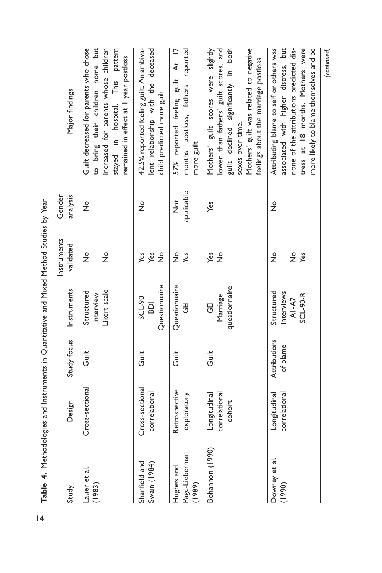| Table 4. Methodologies and Instruments in Quantitative and Mixed Method Studies by Year. |                                         |                          |                                                           |                                   |                             |                                                                                                                                                                                                                            |
|------------------------------------------------------------------------------------------|-----------------------------------------|--------------------------|-----------------------------------------------------------|-----------------------------------|-----------------------------|----------------------------------------------------------------------------------------------------------------------------------------------------------------------------------------------------------------------------|
| Study                                                                                    | Design                                  | Study focus              | Instruments                                               | Instruments<br>validated          | analysis<br>Gender          | Major findings                                                                                                                                                                                                             |
| Lauer et al.<br>(1983)                                                                   | Cross-sectional                         | Guilt                    | Likert scale<br>Structured<br>interview                   | ż<br>$\frac{1}{2}$                | ż                           | increased for parents whose children<br>to bring their children home but<br>stayed in hospital. This pattern<br>Guilt decreased for parents who chose<br>remained in effect at I year postloss                             |
| Shanfield and<br>Swain (1984)                                                            | Cross-sectional<br>correlational        | Guilt                    | Questionnaire<br><b>OG-7DS</b><br>$\overline{\mathsf{B}}$ | Yes<br>Yes<br>$\frac{1}{2}$       | ž                           | 42.5% reported feeling guilt. An ambiva-<br>lent relationship with the deceased<br>child predicted more guilt                                                                                                              |
| Page-Lieberman<br>Hughes and<br>(1989)                                                   | Retrospective<br>exploratory            | Guilt                    | Questionnaire<br>可                                        | $\frac{\circ}{\mathsf{Z}}$<br>Yes | applicable<br>$\frac{5}{2}$ | months postloss, fathers reported<br>57% reported feeling guilt. At 12<br>more guilt                                                                                                                                       |
| Bohannon (1990)                                                                          | correlational<br>Longitudinal<br>cohort | Guilt                    | questionnaire<br>Marriage<br>GEI                          | $\frac{1}{2}$<br>Yes              | уeз                         | Mothers' guilt was related to negative<br>lower than fathers' guilt scores, and<br>Mothers' guilt scores were slightly<br>guilt declined significantly in both<br>feelings about the marriage postloss<br>sexes over time. |
| Downey et al.<br>(1990)                                                                  | correlational<br>Longitudinal           | Attributions<br>of blame | Structured<br>interviews<br>SCL-90-R<br>$A1-A7$           | ż<br>$\frac{\circ}{Z}$<br>Yes     | $\frac{1}{2}$               | associated with higher distress, but<br>none of the attributions predicted dis-<br>tress at 18 months. Mothers were<br>Attributing blame to self or others was<br>more likely to blame themselves and be                   |
|                                                                                          |                                         |                          |                                                           |                                   |                             | (continued)                                                                                                                                                                                                                |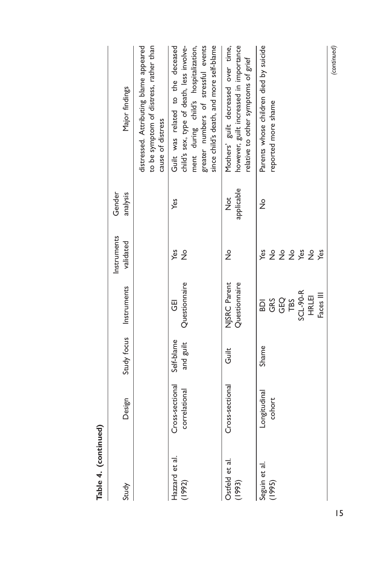| Table 4. (continued)     |                                  |                         |                                                                 |                                                                                   |                             |                                                                                                                                                                                                           |
|--------------------------|----------------------------------|-------------------------|-----------------------------------------------------------------|-----------------------------------------------------------------------------------|-----------------------------|-----------------------------------------------------------------------------------------------------------------------------------------------------------------------------------------------------------|
| Study                    | Design                           |                         | Study focus Instruments                                         | Instruments<br>validated                                                          | Gender<br>analysis          | Major findings                                                                                                                                                                                            |
|                          |                                  |                         |                                                                 |                                                                                   |                             | to be symptom of distress, rather than<br>distressed. Attributing blame appeared<br>cause of distress                                                                                                     |
| Hazzard et al.<br>(1992) | Cross-sectional<br>correlational | Self-blame<br>and guilt | Questionnaire<br>田<br>じ                                         | Yes<br>$\frac{1}{2}$                                                              | Yes                         | child's sex, type of death, less involve-<br>ment during child's hospitalization,<br>greater numbers of stressful events<br>since child's death, and more self-blame<br>Guilt was related to the deceased |
| Ostfeld et al.<br>(1993) | Cross-sectional                  | Guilt                   | Questionnaire<br>NJSRC Parent                                   | ž                                                                                 | applicable<br>$\frac{5}{2}$ | however, guilt increased in importance<br>Mothers' guilt decreased over time,<br>relative to other symptoms of grief                                                                                      |
| Seguin et al.<br>(1995)  | Longitudinal<br>cohort           | Shame                   | SCL-90-R<br>Faces III<br><b>HRLEI</b><br>GRS<br>GEQ<br>TBS<br>읾 | ی<br>فر <u>ح</u><br>yes<br>$\frac{1}{2}$<br>$\frac{1}{2}$<br>$\frac{1}{2}$<br>yes | ž                           | Parents whose children died by suicide<br>reported more shame                                                                                                                                             |

(continued)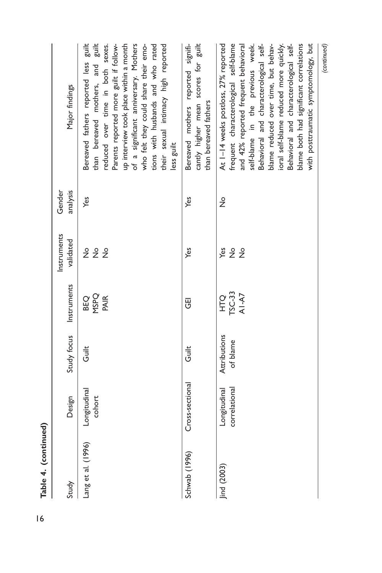| Table 4. (continued) |                               |                          |                              |                                                 |                    |                                                                                                                                                                                                                                                                                                                                                                                                                   |
|----------------------|-------------------------------|--------------------------|------------------------------|-------------------------------------------------|--------------------|-------------------------------------------------------------------------------------------------------------------------------------------------------------------------------------------------------------------------------------------------------------------------------------------------------------------------------------------------------------------------------------------------------------------|
| Study                | Design                        | Study focus              | Instruments                  | Instruments<br>validated                        | analysis<br>Gender | Major findings                                                                                                                                                                                                                                                                                                                                                                                                    |
| Lang et al. (1996)   | Longitudinal<br>cohort        | Guilt                    | BEQ<br>MSPQ<br>PAIR          | $\frac{1}{2}$<br>$\frac{1}{2}$<br>$\frac{1}{2}$ | Yes                | Bereaved fathers reported less guilt<br>guilt<br>Parents reported more guilt if follow-<br>of a significant anniversary. Mothers<br>tions with husbands and who rated<br>up interview took place within a month<br>their sexual intimacy high reported<br>reduced over time in both sexes.<br>who felt they could share their emo-<br>than bereaved mothers, and<br>less guilt                                    |
| Schwab (1996)        | Cross-sectional               | Guilt                    | この<br>この                     | Yes                                             | Yes                | cantly higher mean scores for guilt<br>Bereaved mothers reported signifi-<br>than bereaved fathers                                                                                                                                                                                                                                                                                                                |
| Jind (2003)          | Longitudinal<br>correlational | Attributions<br>of blame | TSC-33<br>$AI-A7$<br>O<br>HT | $\frac{1}{2}$<br>$\frac{1}{2}$<br>Yes           | $\frac{1}{2}$      | frequent characterological self-blame<br>Behavioral and characterological self-<br>Behavioral and characterological self-<br>with posttraumatic symptomology, but<br>blame reduced over time, but behav-<br>blame both had significant correlations<br>At 1-14 weeks postloss, 27% reported<br>and 42% reported frequent behavioral<br>self-blame in the previous week.<br>ioral self-blame reduced more quickly. |
|                      |                               |                          |                              |                                                 |                    | (continued)                                                                                                                                                                                                                                                                                                                                                                                                       |

16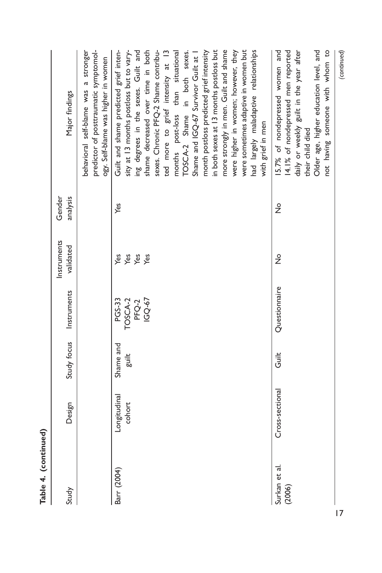| Table 4. (continued)    |                        |                    |                                             |                          |                    |                                                                                                                                                                                                                                                                                                                                                                                                                                                                                                                                                                                                                                      |
|-------------------------|------------------------|--------------------|---------------------------------------------|--------------------------|--------------------|--------------------------------------------------------------------------------------------------------------------------------------------------------------------------------------------------------------------------------------------------------------------------------------------------------------------------------------------------------------------------------------------------------------------------------------------------------------------------------------------------------------------------------------------------------------------------------------------------------------------------------------|
| Study                   | Design                 | Study focus        | Instruments                                 | Instruments<br>validated | analysis<br>Gender | Major findings                                                                                                                                                                                                                                                                                                                                                                                                                                                                                                                                                                                                                       |
|                         |                        |                    |                                             |                          |                    | predictor of posttraumatic symptomol-<br>behavioral self-blame was a stronger<br>ogy. Self-blame was higher in women                                                                                                                                                                                                                                                                                                                                                                                                                                                                                                                 |
| Barr (2004)             | Longitudinal<br>cohort | Shame and<br>guilt | <b>IGQ-67</b><br>PGS-33<br>TOSCA-2<br>PFQ-2 | yes<br>Yes<br>yes<br>Yes | Yes                | sity at 13 months postloss but to vary-<br>sexes. Chronic PFQ-2 Shame contribu-<br>months post-loss than situational<br>more strongly in men. Guilt and shame<br>month postloss predicted grief intensity<br>in both sexes at 13 months postloss but<br>were higher in women; however, they<br>were sometimes adaptive in women but<br>Guilt and shame predicted grief inten-<br>shame decreased over time in both<br>ted more to grief intensity at 13<br>had largely maladaptive relationships<br>ing degrees in the sexes. Guilt and<br>TOSCA-2 Shame in both sexes.<br>Shame and IGQ-67 Survivor Guilt at I<br>with grief in men |
| Surkan et al.<br>(2006) | Cross-sectional        | Guilt              | Questionnaire                               | $\frac{1}{2}$            | $\frac{1}{2}$      | Older age, higher education level, and<br>not having someone with whom to<br>daily or weekly guilt in the year after<br>14.1% of nondepressed men reported<br>15.7% of nondepressed women and<br>their child died                                                                                                                                                                                                                                                                                                                                                                                                                    |
|                         |                        |                    |                                             |                          |                    | (continued)                                                                                                                                                                                                                                                                                                                                                                                                                                                                                                                                                                                                                          |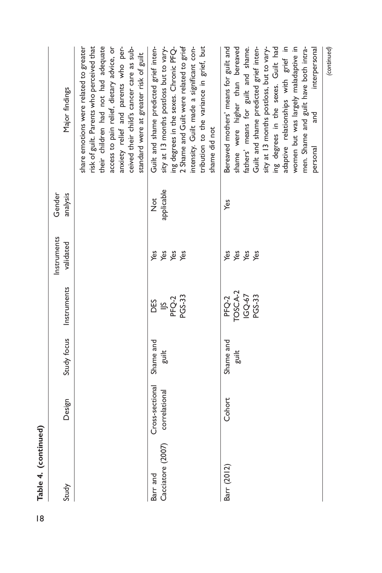| Table 4. (continued)          |                                  |                    |                                        |                          |                             |                                                                                                                                                                                                                                                                                                                                                                                                           |
|-------------------------------|----------------------------------|--------------------|----------------------------------------|--------------------------|-----------------------------|-----------------------------------------------------------------------------------------------------------------------------------------------------------------------------------------------------------------------------------------------------------------------------------------------------------------------------------------------------------------------------------------------------------|
| Study                         | Design                           | Study focus        | Instruments                            | Instruments<br>validated | Gender<br>analysis          | Major findings                                                                                                                                                                                                                                                                                                                                                                                            |
|                               |                                  |                    |                                        |                          |                             | risk of guilt. Parents who perceived that<br>their children had not had adequate<br>access to pain relief, dietary advice, or<br>anxiety relief and parents who per-<br>ceived their child's cancer care as sub-<br>share emotions were related to greater<br>standard were at greater risk of guilt                                                                                                      |
| Cacciatore (2007)<br>Barr and | Cross-sectional<br>correlational | Shame and<br>guilt | JIS<br>PFQ-2<br>PGS-33<br>DES          | yes<br>Yes<br>Yes<br>yes | applicable<br>$\frac{5}{2}$ | 2 Shame and Guilt were related to grief<br>ing degrees in the sexes. Chronic PFQ-<br>intensity. Guilt made a significant con-<br>tribution to the variance in grief, but<br>Guilt and shame predicted grief inten-<br>sity at 13 months postloss but to vary-<br>shame did not                                                                                                                            |
| Barr (2012)                   | Cohort                           | Shame and<br>guilt | TOSCA-2<br>$IGQ-67$<br>PGS-33<br>PFQ-2 | Yes<br>уes<br>yes<br>Š   | Yes                         | adaptive relationships with grief in<br>women but was largely maladaptive in<br>ing degrees in the sexes. Guilt had<br>shame were higher than bereaved<br>Guilt and shame predicted grief inten-<br>sity at 13 months postloss, but to vary-<br>men. Shame and guilt have both intra-<br>Bereaved mothers' means for guilt and<br>fathers' means for guilt and shame.<br>interpersonal<br>and<br>personal |
|                               |                                  |                    |                                        |                          |                             | (continued)                                                                                                                                                                                                                                                                                                                                                                                               |

18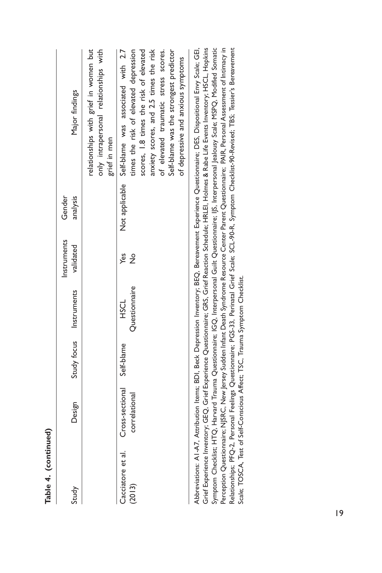| Table 4. (continued)        |                                             |                          |                          |                    |                                                                                                                                                                                                                                                                                                                                                                                                                                                                                |
|-----------------------------|---------------------------------------------|--------------------------|--------------------------|--------------------|--------------------------------------------------------------------------------------------------------------------------------------------------------------------------------------------------------------------------------------------------------------------------------------------------------------------------------------------------------------------------------------------------------------------------------------------------------------------------------|
| Study                       | Design                                      | Study focus Instruments  | Instruments<br>validated | Gender<br>analysis | Major findings                                                                                                                                                                                                                                                                                                                                                                                                                                                                 |
|                             |                                             |                          |                          |                    | relationships with grief in women but<br>only intrapersonal relationships with<br>grief in men                                                                                                                                                                                                                                                                                                                                                                                 |
| Cacciatore et al.<br>(2013) | Cross-sectional Self-blame<br>correlational | Questionnaire<br>다.<br>이 | yes<br>$\frac{1}{2}$     |                    | Not applicable Self-blame was associated with 2.7<br>times the risk of elevated depression<br>anxiety scores, and 2.5 times the risk<br>scores, 1.8 times the risk of elevated<br>of elevated traumatic stress scores.<br>Self-blame was the strongest predictor<br>of depressive and anxious symptoms                                                                                                                                                                         |
|                             |                                             |                          |                          |                    | Abbreviations: AI-A7, Attribution Items; BDI, Beck Depression Inventory; BEQ, Bereavement Experience Questionnaire; DES, Dispositional Envy Scale; GEI,<br>Grief Experience Inventory; GEQ, Grief Experience Questionnaire; GRS, Grief Reaction Schedule; HRLEI, Holmes & Rabe Life Events Inventory; HSCL, Hopkins<br>Symptom Checklist: HTO, Harvard Trauma Ouestionnaire: IGO, Interpersonal Guilt Ouestionnaire: IIS, Interpersonal Jealousy Scale: MSPO, Modified Somatic |

ייטיייטיייט שופטלייט און א פייסטאלייט און א פייסטארייט און א פייסטארייט און א פייסטארייט און א פייסטארייט און<br>Perception Questionnaire; NJSRC, New Jersey Sudden Infant Death Syndrome Resource Center Parent Questionnaire; Relationships; PFQ-2, Personal Feelings Questionnaire; PGS-33, Perinatal Grief Scale; SCL-90-R, Symptom Checklist-90-Revised; TBS; Tessier's Bereavement Relationships; PFQ-2, Personal Feelings Questionnaire; PGS-33, Perinatal Grief Scale; SCL-90-R, Symptom Checklist-90-Revised; TBS; Tessier's Bereavement Symptom Checklist; HTQ, Harvard Trauma Questionnaire; IGQ, Interpersonal Guilt Questionnaire; IJS, Interpersonal Jealousy Scale; MSPQ, Modified Somatic Perception Questionnaire; NJSRC, New Jersey Sudden Infant Death Syndrome Resource Center Parent Questionnaire; PAIR, Personal Assessment of Intimacy in Scale; TOSCA, Test of Self-Conscious Affect; TSC, Trauma Symptom Checklist. Scale; TOSCA, Test of Self-Conscious Affect; TSC, Trauma Symptom Checklist.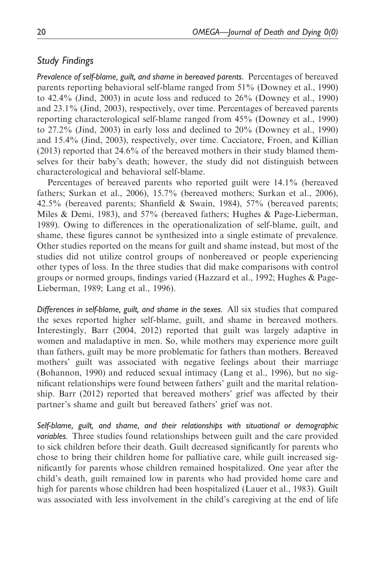## Study Findings

Prevalence of self-blame, guilt, and shame in bereaved parents. Percentages of bereaved parents reporting behavioral self-blame ranged from 51% (Downey et al., 1990) to 42.4% (Jind, 2003) in acute loss and reduced to 26% (Downey et al., 1990) and 23.1% (Jind, 2003), respectively, over time. Percentages of bereaved parents reporting characterological self-blame ranged from 45% (Downey et al., 1990) to 27.2% (Jind, 2003) in early loss and declined to 20% (Downey et al., 1990) and 15.4% (Jind, 2003), respectively, over time. Cacciatore, Froen, and Killian (2013) reported that 24.6% of the bereaved mothers in their study blamed themselves for their baby's death; however, the study did not distinguish between characterological and behavioral self-blame.

Percentages of bereaved parents who reported guilt were 14.1% (bereaved fathers; Surkan et al., 2006), 15.7% (bereaved mothers; Surkan et al., 2006), 42.5% (bereaved parents; Shanfield & Swain, 1984), 57% (bereaved parents; Miles & Demi, 1983), and 57% (bereaved fathers; Hughes & Page-Lieberman, 1989). Owing to differences in the operationalization of self-blame, guilt, and shame, these figures cannot be synthesized into a single estimate of prevalence. Other studies reported on the means for guilt and shame instead, but most of the studies did not utilize control groups of nonbereaved or people experiencing other types of loss. In the three studies that did make comparisons with control groups or normed groups, findings varied (Hazzard et al., 1992; Hughes & Page-Lieberman, 1989; Lang et al., 1996).

Differences in self-blame, guilt, and shame in the sexes. All six studies that compared the sexes reported higher self-blame, guilt, and shame in bereaved mothers. Interestingly, Barr (2004, 2012) reported that guilt was largely adaptive in women and maladaptive in men. So, while mothers may experience more guilt than fathers, guilt may be more problematic for fathers than mothers. Bereaved mothers' guilt was associated with negative feelings about their marriage (Bohannon, 1990) and reduced sexual intimacy (Lang et al., 1996), but no significant relationships were found between fathers' guilt and the marital relationship. Barr (2012) reported that bereaved mothers' grief was affected by their partner's shame and guilt but bereaved fathers' grief was not.

Self-blame, guilt, and shame, and their relationships with situational or demographic variables. Three studies found relationships between guilt and the care provided to sick children before their death. Guilt decreased significantly for parents who chose to bring their children home for palliative care, while guilt increased significantly for parents whose children remained hospitalized. One year after the child's death, guilt remained low in parents who had provided home care and high for parents whose children had been hospitalized (Lauer et al., 1983). Guilt was associated with less involvement in the child's caregiving at the end of life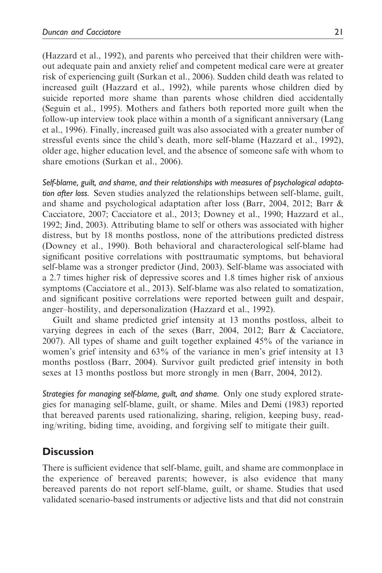(Hazzard et al., 1992), and parents who perceived that their children were without adequate pain and anxiety relief and competent medical care were at greater risk of experiencing guilt (Surkan et al., 2006). Sudden child death was related to increased guilt (Hazzard et al., 1992), while parents whose children died by suicide reported more shame than parents whose children died accidentally (Seguin et al., 1995). Mothers and fathers both reported more guilt when the follow-up interview took place within a month of a significant anniversary (Lang et al., 1996). Finally, increased guilt was also associated with a greater number of stressful events since the child's death, more self-blame (Hazzard et al., 1992), older age, higher education level, and the absence of someone safe with whom to share emotions (Surkan et al., 2006).

Self-blame, guilt, and shame, and their relationships with measures of psychological adaptation after loss. Seven studies analyzed the relationships between self-blame, guilt, and shame and psychological adaptation after loss (Barr, 2004, 2012; Barr & Cacciatore, 2007; Cacciatore et al., 2013; Downey et al., 1990; Hazzard et al., 1992; Jind, 2003). Attributing blame to self or others was associated with higher distress, but by 18 months postloss, none of the attributions predicted distress (Downey et al., 1990). Both behavioral and characterological self-blame had significant positive correlations with posttraumatic symptoms, but behavioral self-blame was a stronger predictor (Jind, 2003). Self-blame was associated with a 2.7 times higher risk of depressive scores and 1.8 times higher risk of anxious symptoms (Cacciatore et al., 2013). Self-blame was also related to somatization, and significant positive correlations were reported between guilt and despair, anger–hostility, and depersonalization (Hazzard et al., 1992).

Guilt and shame predicted grief intensity at 13 months postloss, albeit to varying degrees in each of the sexes (Barr, 2004, 2012; Barr & Cacciatore, 2007). All types of shame and guilt together explained 45% of the variance in women's grief intensity and 63% of the variance in men's grief intensity at 13 months postloss (Barr, 2004). Survivor guilt predicted grief intensity in both sexes at 13 months postloss but more strongly in men (Barr, 2004, 2012).

Strategies for managing self-blame, guilt, and shame. Only one study explored strategies for managing self-blame, guilt, or shame. Miles and Demi (1983) reported that bereaved parents used rationalizing, sharing, religion, keeping busy, reading/writing, biding time, avoiding, and forgiving self to mitigate their guilt.

# **Discussion**

There is sufficient evidence that self-blame, guilt, and shame are commonplace in the experience of bereaved parents; however, is also evidence that many bereaved parents do not report self-blame, guilt, or shame. Studies that used validated scenario-based instruments or adjective lists and that did not constrain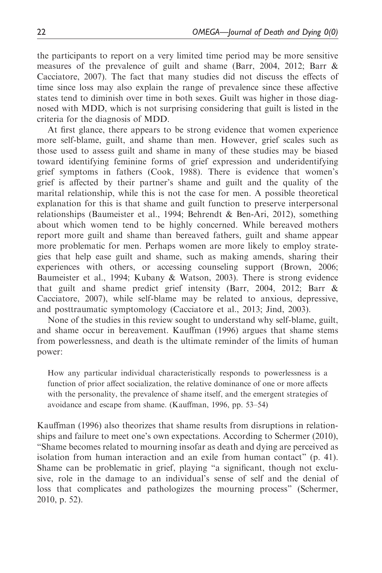the participants to report on a very limited time period may be more sensitive measures of the prevalence of guilt and shame (Barr, 2004, 2012; Barr & Cacciatore, 2007). The fact that many studies did not discuss the effects of time since loss may also explain the range of prevalence since these affective states tend to diminish over time in both sexes. Guilt was higher in those diagnosed with MDD, which is not surprising considering that guilt is listed in the criteria for the diagnosis of MDD.

At first glance, there appears to be strong evidence that women experience more self-blame, guilt, and shame than men. However, grief scales such as those used to assess guilt and shame in many of these studies may be biased toward identifying feminine forms of grief expression and underidentifying grief symptoms in fathers (Cook, 1988). There is evidence that women's grief is affected by their partner's shame and guilt and the quality of the marital relationship, while this is not the case for men. A possible theoretical explanation for this is that shame and guilt function to preserve interpersonal relationships (Baumeister et al., 1994; Behrendt & Ben-Ari, 2012), something about which women tend to be highly concerned. While bereaved mothers report more guilt and shame than bereaved fathers, guilt and shame appear more problematic for men. Perhaps women are more likely to employ strategies that help ease guilt and shame, such as making amends, sharing their experiences with others, or accessing counseling support (Brown, 2006; Baumeister et al., 1994; Kubany & Watson, 2003). There is strong evidence that guilt and shame predict grief intensity (Barr, 2004, 2012; Barr & Cacciatore, 2007), while self-blame may be related to anxious, depressive, and posttraumatic symptomology (Cacciatore et al., 2013; Jind, 2003).

None of the studies in this review sought to understand why self-blame, guilt, and shame occur in bereavement. Kauffman (1996) argues that shame stems from powerlessness, and death is the ultimate reminder of the limits of human power:

How any particular individual characteristically responds to powerlessness is a function of prior affect socialization, the relative dominance of one or more affects with the personality, the prevalence of shame itself, and the emergent strategies of avoidance and escape from shame. (Kauffman, 1996, pp. 53–54)

Kauffman (1996) also theorizes that shame results from disruptions in relationships and failure to meet one's own expectations. According to Schermer (2010), "Shame becomes related to mourning insofar as death and dying are perceived as isolation from human interaction and an exile from human contact" (p. 41). Shame can be problematic in grief, playing "a significant, though not exclusive, role in the damage to an individual's sense of self and the denial of loss that complicates and pathologizes the mourning process" (Schermer, 2010, p. 52).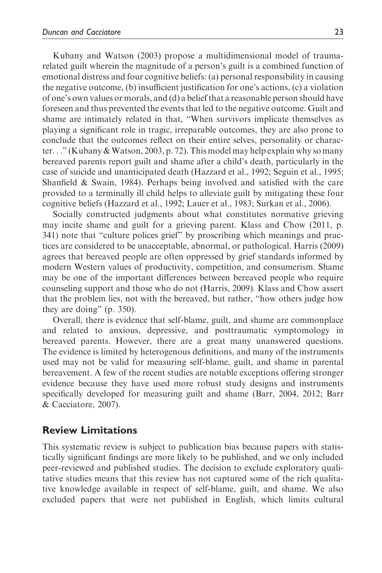Kubany and Watson (2003) propose a multidimensional model of traumarelated guilt wherein the magnitude of a person's guilt is a combined function of emotional distress and four cognitive beliefs: (a) personal responsibility in causing the negative outcome, (b) insufficient justification for one's actions, (c) a violation of one's own values or morals, and (d) a belief that a reasonable person should have foreseen and thus prevented the events that led to the negative outcome. Guilt and shame are intimately related in that, "When survivors implicate themselves as playing a significant role in tragic, irreparable outcomes, they are also prone to conclude that the outcomes reflect on their entire selves, personality or character..." (Kubany & Watson, 2003, p. 72). This model may help explain why so many bereaved parents report guilt and shame after a child's death, particularly in the case of suicide and unanticipated death (Hazzard et al., 1992; Seguin et al., 1995; Shanfield & Swain, 1984). Perhaps being involved and satisfied with the care provided to a terminally ill child helps to alleviate guilt by mitigating these four cognitive beliefs (Hazzard et al., 1992; Lauer et al., 1983; Surkan et al., 2006).

Socially constructed judgments about what constitutes normative grieving may incite shame and guilt for a grieving parent. Klass and Chow (2011, p. 341) note that "culture polices grief" by proscribing which meanings and practices are considered to be unacceptable, abnormal, or pathological. Harris (2009) agrees that bereaved people are often oppressed by grief standards informed by modern Western values of productivity, competition, and consumerism. Shame may be one of the important differences between bereaved people who require counseling support and those who do not (Harris, 2009). Klass and Chow assert that the problem lies, not with the bereaved, but rather, "how others judge how they are doing" (p. 350).

Overall, there is evidence that self-blame, guilt, and shame are commonplace and related to anxious, depressive, and posttraumatic symptomology in bereaved parents. However, there are a great many unanswered questions. The evidence is limited by heterogenous definitions, and many of the instruments used may not be valid for measuring self-blame, guilt, and shame in parental bereavement. A few of the recent studies are notable exceptions offering stronger evidence because they have used more robust study designs and instruments specifically developed for measuring guilt and shame (Barr, 2004, 2012; Barr & Cacciatore, 2007).

## Review Limitations

This systematic review is subject to publication bias because papers with statistically significant findings are more likely to be published, and we only included peer-reviewed and published studies. The decision to exclude exploratory qualitative studies means that this review has not captured some of the rich qualitative knowledge available in respect of self-blame, guilt, and shame. We also excluded papers that were not published in English, which limits cultural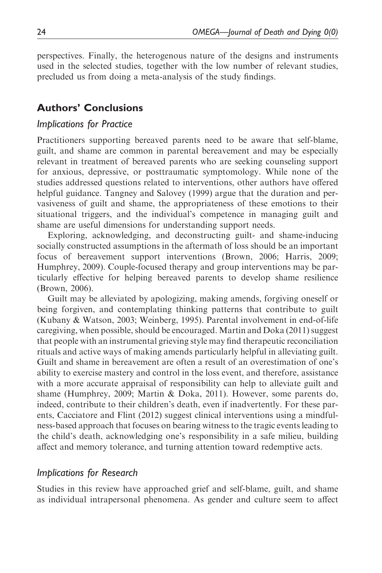perspectives. Finally, the heterogenous nature of the designs and instruments used in the selected studies, together with the low number of relevant studies, precluded us from doing a meta-analysis of the study findings.

## Authors' Conclusions

#### Implications for Practice

Practitioners supporting bereaved parents need to be aware that self-blame, guilt, and shame are common in parental bereavement and may be especially relevant in treatment of bereaved parents who are seeking counseling support for anxious, depressive, or posttraumatic symptomology. While none of the studies addressed questions related to interventions, other authors have offered helpful guidance. Tangney and Salovey (1999) argue that the duration and pervasiveness of guilt and shame, the appropriateness of these emotions to their situational triggers, and the individual's competence in managing guilt and shame are useful dimensions for understanding support needs.

Exploring, acknowledging, and deconstructing guilt- and shame-inducing socially constructed assumptions in the aftermath of loss should be an important focus of bereavement support interventions (Brown, 2006; Harris, 2009; Humphrey, 2009). Couple-focused therapy and group interventions may be particularly effective for helping bereaved parents to develop shame resilience (Brown, 2006).

Guilt may be alleviated by apologizing, making amends, forgiving oneself or being forgiven, and contemplating thinking patterns that contribute to guilt (Kubany & Watson, 2003; Weinberg, 1995). Parental involvement in end-of-life caregiving, when possible, should be encouraged. Martin and Doka (2011) suggest that people with an instrumental grieving style may find therapeutic reconciliation rituals and active ways of making amends particularly helpful in alleviating guilt. Guilt and shame in bereavement are often a result of an overestimation of one's ability to exercise mastery and control in the loss event, and therefore, assistance with a more accurate appraisal of responsibility can help to alleviate guilt and shame (Humphrey, 2009; Martin & Doka, 2011). However, some parents do, indeed, contribute to their children's death, even if inadvertently. For these parents, Cacciatore and Flint (2012) suggest clinical interventions using a mindfulness-based approach that focuses on bearing witness to the tragic events leading to the child's death, acknowledging one's responsibility in a safe milieu, building affect and memory tolerance, and turning attention toward redemptive acts.

### Implications for Research

Studies in this review have approached grief and self-blame, guilt, and shame as individual intrapersonal phenomena. As gender and culture seem to affect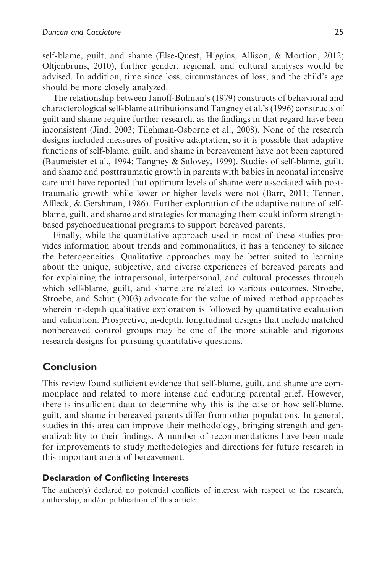self-blame, guilt, and shame (Else-Quest, Higgins, Allison, & Mortion, 2012; Oltjenbruns, 2010), further gender, regional, and cultural analyses would be advised. In addition, time since loss, circumstances of loss, and the child's age should be more closely analyzed.

The relationship between Janoff-Bulman's (1979) constructs of behavioral and characterological self-blame attributions and Tangney et al.'s (1996) constructs of guilt and shame require further research, as the findings in that regard have been inconsistent (Jind, 2003; Tilghman-Osborne et al., 2008). None of the research designs included measures of positive adaptation, so it is possible that adaptive functions of self-blame, guilt, and shame in bereavement have not been captured (Baumeister et al., 1994; Tangney & Salovey, 1999). Studies of self-blame, guilt, and shame and posttraumatic growth in parents with babies in neonatal intensive care unit have reported that optimum levels of shame were associated with posttraumatic growth while lower or higher levels were not (Barr, 2011; Tennen, Affleck, & Gershman, 1986). Further exploration of the adaptive nature of selfblame, guilt, and shame and strategies for managing them could inform strengthbased psychoeducational programs to support bereaved parents.

Finally, while the quantitative approach used in most of these studies provides information about trends and commonalities, it has a tendency to silence the heterogeneities. Qualitative approaches may be better suited to learning about the unique, subjective, and diverse experiences of bereaved parents and for explaining the intrapersonal, interpersonal, and cultural processes through which self-blame, guilt, and shame are related to various outcomes. Stroebe, Stroebe, and Schut (2003) advocate for the value of mixed method approaches wherein in-depth qualitative exploration is followed by quantitative evaluation and validation. Prospective, in-depth, longitudinal designs that include matched nonbereaved control groups may be one of the more suitable and rigorous research designs for pursuing quantitative questions.

## Conclusion

This review found sufficient evidence that self-blame, guilt, and shame are commonplace and related to more intense and enduring parental grief. However, there is insufficient data to determine why this is the case or how self-blame, guilt, and shame in bereaved parents differ from other populations. In general, studies in this area can improve their methodology, bringing strength and generalizability to their findings. A number of recommendations have been made for improvements to study methodologies and directions for future research in this important arena of bereavement.

#### Declaration of Conflicting Interests

The author(s) declared no potential conflicts of interest with respect to the research, authorship, and/or publication of this article.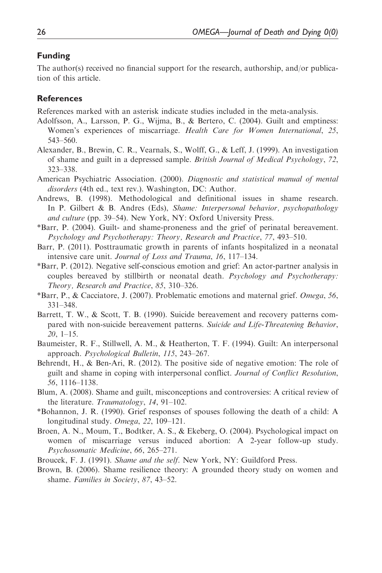#### Funding

The author(s) received no financial support for the research, authorship, and/or publication of this article.

#### **References**

References marked with an asterisk indicate studies included in the meta-analysis.

- Adolfsson, A., Larsson, P. G., Wijma, B., & Bertero, C. (2004). Guilt and emptiness: Women's experiences of miscarriage. Health Care for Women International, 25, 543–560.
- Alexander, B., Brewin, C. R., Vearnals, S., Wolff, G., & Leff, J. (1999). An investigation of shame and guilt in a depressed sample. British Journal of Medical Psychology, 72, 323–338.
- American Psychiatric Association. (2000). Diagnostic and statistical manual of mental disorders (4th ed., text rev.). Washington, DC: Author.
- Andrews, B. (1998). Methodological and definitional issues in shame research. In P. Gilbert & B. Andres (Eds), Shame: Interpersonal behavior, psychopathology and culture (pp. 39–54). New York, NY: Oxford University Press.
- \*Barr, P. (2004). Guilt- and shame-proneness and the grief of perinatal bereavement. Psychology and Psychotherapy: Theory, Research and Practice, 77, 493–510.
- Barr, P. (2011). Posttraumatic growth in parents of infants hospitalized in a neonatal intensive care unit. Journal of Loss and Trauma, 16, 117–134.
- \*Barr, P. (2012). Negative self-conscious emotion and grief: An actor-partner analysis in couples bereaved by stillbirth or neonatal death. Psychology and Psychotherapy: Theory, Research and Practice, 85, 310–326.
- \*Barr, P., & Cacciatore, J. (2007). Problematic emotions and maternal grief. Omega, 56, 331–348.
- Barrett, T. W., & Scott, T. B. (1990). Suicide bereavement and recovery patterns compared with non-suicide bereavement patterns. Suicide and Life-Threatening Behavior, 20, 1–15.
- Baumeister, R. F., Stillwell, A. M., & Heatherton, T. F. (1994). Guilt: An interpersonal approach. Psychological Bulletin, 115, 243–267.
- Behrendt, H., & Ben-Ari, R. (2012). The positive side of negative emotion: The role of guilt and shame in coping with interpersonal conflict. Journal of Conflict Resolution, 56, 1116–1138.
- Blum, A. (2008). Shame and guilt, misconceptions and controversies: A critical review of the literature. Traumatology, 14, 91-102.
- \*Bohannon, J. R. (1990). Grief responses of spouses following the death of a child: A longitudinal study. Omega, 22, 109–121.
- Broen, A. N., Moum, T., Bodtker, A. S., & Ekeberg, O. (2004). Psychological impact on women of miscarriage versus induced abortion: A 2-year follow-up study. Psychosomatic Medicine, 66, 265–271.
- Broucek, F. J. (1991). Shame and the self. New York, NY: Guildford Press.
- Brown, B. (2006). Shame resilience theory: A grounded theory study on women and shame. Families in Society, 87, 43-52.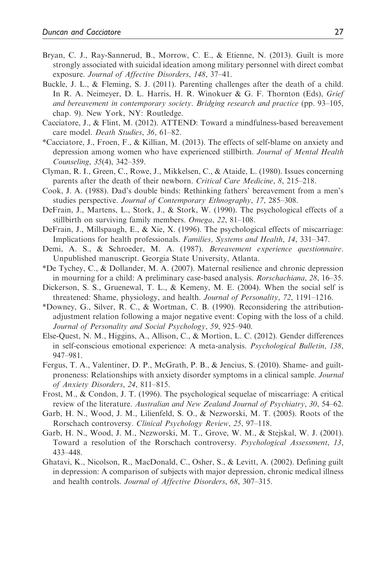- Bryan, C. J., Ray-Sannerud, B., Morrow, C. E., & Etienne, N. (2013). Guilt is more strongly associated with suicidal ideation among military personnel with direct combat exposure. Journal of Affective Disorders, 148, 37–41.
- Buckle, J. L., & Fleming, S. J. (2011). Parenting challenges after the death of a child. In R. A. Neimeyer, D. L. Harris, H. R. Winokuer & G. F. Thornton (Eds), Grief and bereavement in contemporary society. Bridging research and practice (pp. 93–105, chap. 9). New York, NY: Routledge.
- Cacciatore, J., & Flint, M. (2012). ATTEND: Toward a mindfulness-based bereavement care model. Death Studies, 36, 61–82.
- \*Cacciatore, J., Froen, F., & Killian, M. (2013). The effects of self-blame on anxiety and depression among women who have experienced stillbirth. Journal of Mental Health Counseling, 35(4), 342–359.
- Clyman, R. I., Green, C., Rowe, J., Mikkelsen, C., & Ataide, L. (1980). Issues concerning parents after the death of their newborn. Critical Care Medicine, 8, 215–218.
- Cook, J. A. (1988). Dad's double binds: Rethinking fathers' bereavement from a men's studies perspective. Journal of Contemporary Ethnography, 17, 285–308.
- DeFrain, J., Martens, L., Stork, J., & Stork, W. (1990). The psychological effects of a stillbirth on surviving family members. Omega, 22, 81–108.
- DeFrain, J., Millspaugh, E., & Xie, X. (1996). The psychological effects of miscarriage: Implications for health professionals. Families, Systems and Health, 14, 331–347.
- Demi, A. S., & Schroeder, M. A. (1987). Bereavement experience questionnaire. Unpublished manuscript. Georgia State University, Atlanta.
- \*De Tychey, C., & Dollander, M. A. (2007). Maternal resilience and chronic depression in mourning for a child: A preliminary case-based analysis. Rorschachiana, 28, 16–35.
- Dickerson, S. S., Gruenewal, T. L., & Kemeny, M. E. (2004). When the social self is threatened: Shame, physiology, and health. Journal of Personality, 72, 1191–1216.
- \*Downey, G., Silver, R. C., & Wortman, C. B. (1990). Reconsidering the attributionadjustment relation following a major negative event: Coping with the loss of a child. Journal of Personality and Social Psychology, 59, 925–940.
- Else-Quest, N. M., Higgins, A., Allison, C., & Mortion, L. C. (2012). Gender differences in self-conscious emotional experience: A meta-analysis. Psychological Bulletin, 138, 947–981.
- Fergus, T. A., Valentiner, D. P., McGrath, P. B., & Jencius, S. (2010). Shame- and guiltproneness: Relationships with anxiety disorder symptoms in a clinical sample. Journal of Anxiety Disorders, 24, 811–815.
- Frost, M., & Condon, J. T. (1996). The psychological sequelae of miscarriage: A critical review of the literature. Australian and New Zealand Journal of Psychiatry, 30, 54–62.
- Garb, H. N., Wood, J. M., Lilienfeld, S. O., & Nezworski, M. T. (2005). Roots of the Rorschach controversy. Clinical Psychology Review, 25, 97–118.
- Garb, H. N., Wood, J. M., Nezworski, M. T., Grove, W. M., & Stejskal, W. J. (2001). Toward a resolution of the Rorschach controversy. Psychological Assessment, 13, 433–448.
- Ghatavi, K., Nicolson, R., MacDonald, C., Osher, S., & Levitt, A. (2002). Defining guilt in depression: A comparison of subjects with major depression, chronic medical illness and health controls. Journal of Affective Disorders, 68, 307–315.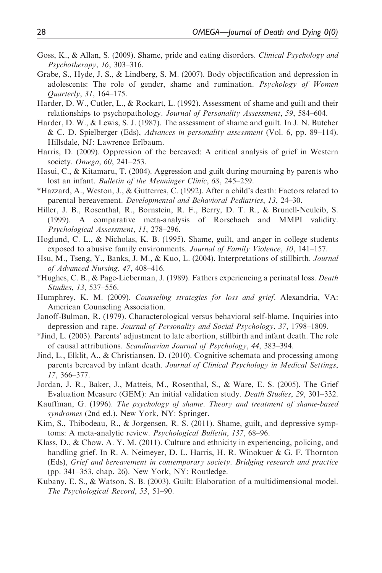- Goss, K., & Allan, S. (2009). Shame, pride and eating disorders. Clinical Psychology and Psychotherapy, 16, 303–316.
- Grabe, S., Hyde, J. S., & Lindberg, S. M. (2007). Body objectification and depression in adolescents: The role of gender, shame and rumination. Psychology of Women Quarterly, 31, 164–175.
- Harder, D. W., Cutler, L., & Rockart, L. (1992). Assessment of shame and guilt and their relationships to psychopathology. Journal of Personality Assessment, 59, 584-604.
- Harder, D. W., & Lewis, S. J. (1987). The assessment of shame and guilt. In J. N. Butcher & C. D. Spielberger (Eds), Advances in personality assessment (Vol. 6, pp. 89–114). Hillsdale, NJ: Lawrence Erlbaum.
- Harris, D. (2009). Oppression of the bereaved: A critical analysis of grief in Western society. *Omega*, 60, 241-253.
- Hasui, C., & Kitamaru, T. (2004). Aggression and guilt during mourning by parents who lost an infant. *Bulletin of the Menninger Clinic*, 68, 245–259.
- \*Hazzard, A., Weston, J., & Gutterres, C. (1992). After a child's death: Factors related to parental bereavement. Developmental and Behavioral Pediatrics, 13, 24–30.
- Hiller, J. B., Rosenthal, R., Bornstein, R. F., Berry, D. T. R., & Brunell-Neuleib, S. (1999). A comparative meta-analysis of Rorschach and MMPI validity. Psychological Assessment, 11, 278–296.
- Hoglund, C. L., & Nicholas, K. B. (1995). Shame, guilt, and anger in college students exposed to abusive family environments. Journal of Family Violence, 10, 141–157.
- Hsu, M., Tseng, Y., Banks, J. M., & Kuo, L. (2004). Interpretations of stillbirth. Journal of Advanced Nursing, 47, 408–416.
- \*Hughes, C. B., & Page-Lieberman, J. (1989). Fathers experiencing a perinatal loss. Death Studies, 13, 537–556.
- Humphrey, K. M. (2009). Counseling strategies for loss and grief. Alexandria, VA: American Counseling Association.
- Janoff-Bulman, R. (1979). Characterological versus behavioral self-blame. Inquiries into depression and rape. Journal of Personality and Social Psychology, 37, 1798–1809.
- \*Jind, L. (2003). Parents' adjustment to late abortion, stillbirth and infant death. The role of causal attributions. Scandinavian Journal of Psychology, 44, 383–394.
- Jind, L., Elklit, A., & Christiansen, D. (2010). Cognitive schemata and processing among parents bereaved by infant death. Journal of Clinical Psychology in Medical Settings, 17, 366–377.
- Jordan, J. R., Baker, J., Matteis, M., Rosenthal, S., & Ware, E. S. (2005). The Grief Evaluation Measure (GEM): An initial validation study. Death Studies, 29, 301–332.
- Kauffman, G. (1996). The psychology of shame. Theory and treatment of shame-based syndromes (2nd ed.). New York, NY: Springer.
- Kim, S., Thibodeau, R., & Jorgensen, R. S. (2011). Shame, guilt, and depressive symptoms: A meta-analytic review. Psychological Bulletin, 137, 68–96.
- Klass, D., & Chow, A. Y. M. (2011). Culture and ethnicity in experiencing, policing, and handling grief. In R. A. Neimeyer, D. L. Harris, H. R. Winokuer & G. F. Thornton (Eds), Grief and bereavement in contemporary society. Bridging research and practice (pp. 341–353, chap. 26). New York, NY: Routledge.
- Kubany, E. S., & Watson, S. B. (2003). Guilt: Elaboration of a multidimensional model. The Psychological Record, 53, 51–90.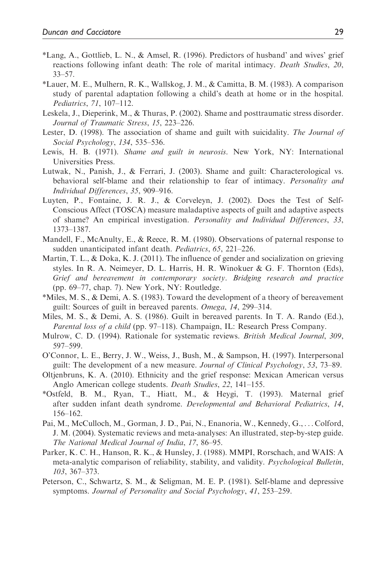- \*Lang, A., Gottlieb, L. N., & Amsel, R. (1996). Predictors of husband' and wives' grief reactions following infant death: The role of marital intimacy. Death Studies, 20, 33–57.
- \*Lauer, M. E., Mulhern, R. K., Wallskog, J. M., & Camitta, B. M. (1983). A comparison study of parental adaptation following a child's death at home or in the hospital. Pediatrics, 71, 107–112.
- Leskela, J., Dieperink, M., & Thuras, P. (2002). Shame and posttraumatic stress disorder. Journal of Traumatic Stress, 15, 223–226.
- Lester, D. (1998). The association of shame and guilt with suicidality. The Journal of Social Psychology, 134, 535–536.
- Lewis, H. B. (1971). Shame and guilt in neurosis. New York, NY: International Universities Press.
- Lutwak, N., Panish, J., & Ferrari, J. (2003). Shame and guilt: Characterological vs. behavioral self-blame and their relationship to fear of intimacy. *Personality and* Individual Differences, 35, 909–916.
- Luyten, P., Fontaine, J. R. J., & Corveleyn, J. (2002). Does the Test of Self-Conscious Affect (TOSCA) measure maladaptive aspects of guilt and adaptive aspects of shame? An empirical investigation. Personality and Individual Differences, 33, 1373–1387.
- Mandell, F., McAnulty, E., & Reece, R. M. (1980). Observations of paternal response to sudden unanticipated infant death. Pediatrics, 65, 221–226.
- Martin, T. L., & Doka, K. J. (2011). The influence of gender and socialization on grieving styles. In R. A. Neimeyer, D. L. Harris, H. R. Winokuer & G. F. Thornton (Eds), Grief and bereavement in contemporary society. Bridging research and practice (pp. 69–77, chap. 7). New York, NY: Routledge.
- \*Miles, M. S., & Demi, A. S. (1983). Toward the development of a theory of bereavement guilt: Sources of guilt in bereaved parents. Omega, 14, 299–314.
- Miles, M. S., & Demi, A. S. (1986). Guilt in bereaved parents. In T. A. Rando (Ed.), Parental loss of a child (pp. 97–118). Champaign, IL: Research Press Company.
- Mulrow, C. D. (1994). Rationale for systematic reviews. British Medical Journal, 309, 597–599.
- O'Connor, L. E., Berry, J. W., Weiss, J., Bush, M., & Sampson, H. (1997). Interpersonal guilt: The development of a new measure. Journal of Clinical Psychology, 53, 73–89.
- Oltjenbruns, K. A. (2010). Ethnicity and the grief response: Mexican American versus Anglo American college students. Death Studies, 22, 141–155.
- \*Ostfeld, B. M., Ryan, T., Hiatt, M., & Heygi, T. (1993). Maternal grief after sudden infant death syndrome. Developmental and Behavioral Pediatrics, 14, 156–162.
- Pai, M., McCulloch, M., Gorman, J. D., Pai, N., Enanoria, W., Kennedy, G., ... Colford, J. M. (2004). Systematic reviews and meta-analyses: An illustrated, step-by-step guide. The National Medical Journal of India, 17, 86–95.
- Parker, K. C. H., Hanson, R. K., & Hunsley, J. (1988). MMPI, Rorschach, and WAIS: A meta-analytic comparison of reliability, stability, and validity. Psychological Bulletin, 103, 367–373.
- Peterson, C., Schwartz, S. M., & Seligman, M. E. P. (1981). Self-blame and depressive symptoms. Journal of Personality and Social Psychology, 41, 253–259.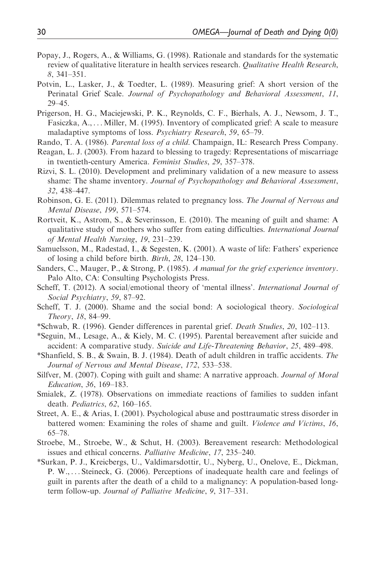- Popay, J., Rogers, A., & Williams, G. (1998). Rationale and standards for the systematic review of qualitative literature in health services research. *Qualitative Health Research*, 8, 341–351.
- Potvin, L., Lasker, J., & Toedter, L. (1989). Measuring grief: A short version of the Perinatal Grief Scale. Journal of Psychopathology and Behavioral Assessment, 11, 29–45.
- Prigerson, H. G., Maciejewski, P. K., Reynolds, C. F., Bierhals, A. J., Newsom, J. T., Fasiczka, A., ... Miller, M. (1995). Inventory of complicated grief: A scale to measure maladaptive symptoms of loss. Psychiatry Research, 59, 65–79.
- Rando, T. A. (1986). Parental loss of a child. Champaign, IL: Research Press Company.
- Reagan, L. J. (2003). From hazard to blessing to tragedy: Representations of miscarriage in twentieth-century America. Feminist Studies, 29, 357–378.
- Rizvi, S. L. (2010). Development and preliminary validation of a new measure to assess shame: The shame inventory. Journal of Psychopathology and Behavioral Assessment, 32, 438–447.
- Robinson, G. E. (2011). Dilemmas related to pregnancy loss. The Journal of Nervous and Mental Disease, 199, 571–574.
- Rortveit, K., Astrom, S., & Severinsson, E. (2010). The meaning of guilt and shame: A qualitative study of mothers who suffer from eating difficulties. International Journal of Mental Health Nursing, 19, 231–239.
- Samuelsson, M., Radestad, I., & Segesten, K. (2001). A waste of life: Fathers' experience of losing a child before birth. Birth, 28, 124–130.
- Sanders, C., Mauger, P., & Strong, P. (1985). A manual for the grief experience inventory. Palo Alto, CA: Consulting Psychologists Press.
- Scheff, T. (2012). A social/emotional theory of 'mental illness'. *International Journal of* Social Psychiatry, 59, 87–92.
- Scheff, T. J. (2000). Shame and the social bond: A sociological theory. Sociological Theory, 18, 84–99.
- \*Schwab, R. (1996). Gender differences in parental grief. Death Studies, 20, 102–113.
- \*Seguin, M., Lesage, A., & Kiely, M. C. (1995). Parental bereavement after suicide and accident: A comparative study. Suicide and Life-Threatening Behavior, 25, 489-498.
- \*Shanfield, S. B., & Swain, B. J. (1984). Death of adult children in traffic accidents. The Journal of Nervous and Mental Disease, 172, 533–538.
- Silfver, M. (2007). Coping with guilt and shame: A narrative approach. Journal of Moral Education, 36, 169–183.
- Smialek, Z. (1978). Observations on immediate reactions of families to sudden infant death. Pediatrics, 62, 160–165.
- Street, A. E., & Arias, I. (2001). Psychological abuse and posttraumatic stress disorder in battered women: Examining the roles of shame and guilt. Violence and Victims, 16, 65–78.
- Stroebe, M., Stroebe, W., & Schut, H. (2003). Bereavement research: Methodological issues and ethical concerns. Palliative Medicine, 17, 235–240.
- \*Surkan, P. J., Kreicbergs, U., Valdimarsdottir, U., Nyberg, U., Onelove, E., Dickman, P. W., ... Steineck, G. (2006). Perceptions of inadequate health care and feelings of guilt in parents after the death of a child to a malignancy: A population-based longterm follow-up. Journal of Palliative Medicine, 9, 317–331.